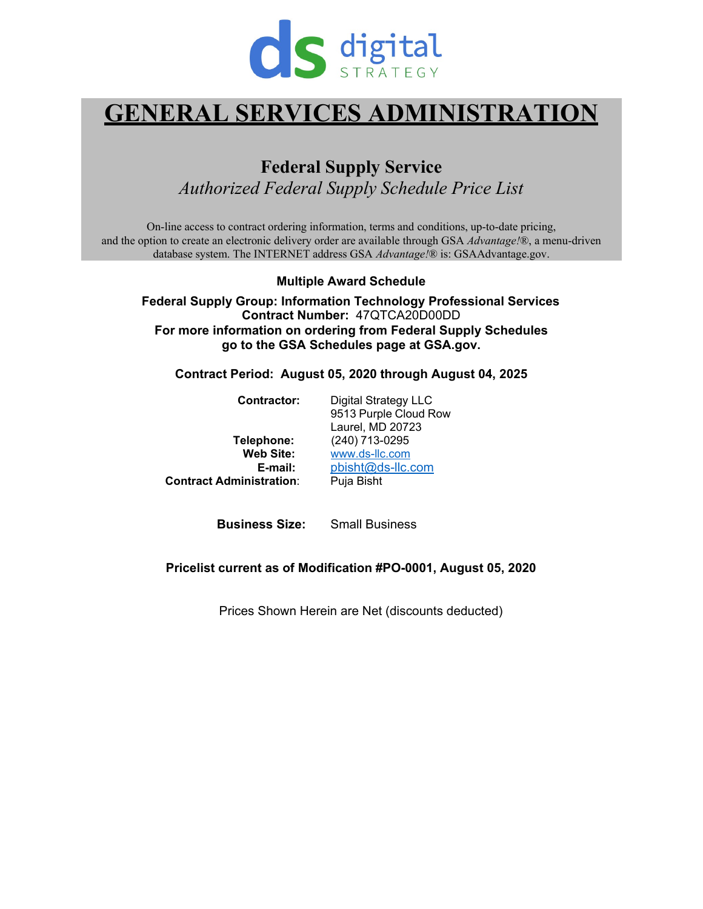

# **GENERAL SERVICES ADMINISTRATION**

**Federal Supply Service** *Authorized Federal Supply Schedule Price List*

On-line access to contract ordering information, terms and conditions, up-to-date pricing, and the option to create an electronic delivery order are available through GSA *Advantage!*®, a menu-driven database system. The INTERNET address GSA *Advantage!*® is: GSAAdvantage.gov.

**Multiple Award Schedule**

**Federal Supply Group: Information Technology Professional Services Contract Number:** 47QTCA20D00DD **For more information on ordering from Federal Supply Schedules go to the GSA Schedules page at GSA.gov.** 

**Contract Period: August 05, 2020 through August 04, 2025**

| Contractor:                     | <b>Digital Strategy LLC</b> |  |  |  |
|---------------------------------|-----------------------------|--|--|--|
|                                 | 9513 Purple Cloud Row       |  |  |  |
|                                 | Laurel, MD 20723            |  |  |  |
| Telephone:                      | (240) 713-0295              |  |  |  |
| <b>Web Site:</b>                | www.ds-llc.com              |  |  |  |
| E-mail:                         | pbisht@ds-llc.com           |  |  |  |
| <b>Contract Administration:</b> | Puja Bisht                  |  |  |  |
|                                 |                             |  |  |  |

**Business Size:** Small Business

#### **Pricelist current as of Modification #PO-0001, August 05, 2020**

Prices Shown Herein are Net (discounts deducted)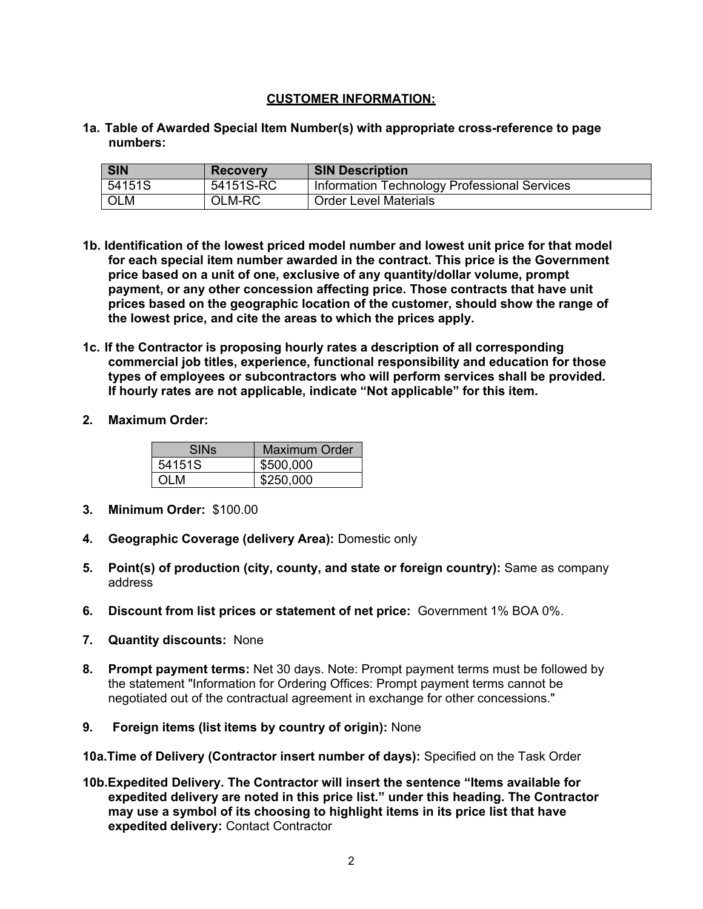### **CUSTOMER INFORMATION:**

**1a. Table of Awarded Special Item Number(s) with appropriate cross-reference to page numbers:**

| <b>SIN</b> | <b>Recovery</b> | <b>SIN Description</b>                       |
|------------|-----------------|----------------------------------------------|
| 54151S     | 54151S-RC       | Information Technology Professional Services |
| <b>OLM</b> | OLM-RC          | <b>Order Level Materials</b>                 |

- **1b. Identification of the lowest priced model number and lowest unit price for that model for each special item number awarded in the contract. This price is the Government price based on a unit of one, exclusive of any quantity/dollar volume, prompt payment, or any other concession affecting price. Those contracts that have unit prices based on the geographic location of the customer, should show the range of the lowest price, and cite the areas to which the prices apply.**
- **1c. If the Contractor is proposing hourly rates a description of all corresponding commercial job titles, experience, functional responsibility and education for those types of employees or subcontractors who will perform services shall be provided. If hourly rates are not applicable, indicate "Not applicable" for this item.**
- **2. Maximum Order:**

| <b>SINs</b> | Maximum Order |
|-------------|---------------|
| 54151S      | \$500,000     |
| OL M        | \$250.000     |

- **3. Minimum Order:** \$100.00
- **4. Geographic Coverage (delivery Area):** Domestic only
- **5. Point(s) of production (city, county, and state or foreign country):** Same as company address
- **6. Discount from list prices or statement of net price:** Government 1% BOA 0%.
- **7. Quantity discounts:** None
- **8. Prompt payment terms:** Net 30 days. Note: Prompt payment terms must be followed by the statement "Information for Ordering Offices: Prompt payment terms cannot be negotiated out of the contractual agreement in exchange for other concessions."
- **9. Foreign items (list items by country of origin):** None

**10a.Time of Delivery (Contractor insert number of days):** Specified on the Task Order

**10b.Expedited Delivery. The Contractor will insert the sentence "Items available for expedited delivery are noted in this price list." under this heading. The Contractor may use a symbol of its choosing to highlight items in its price list that have expedited delivery:** Contact Contractor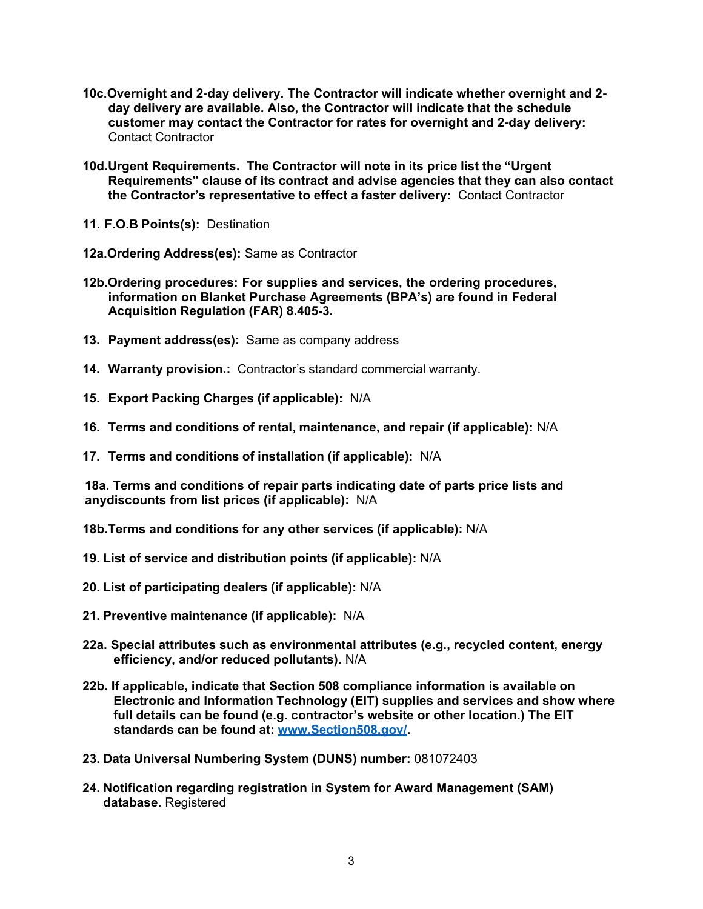- **10c.Overnight and 2-day delivery. The Contractor will indicate whether overnight and 2 day delivery are available. Also, the Contractor will indicate that the schedule customer may contact the Contractor for rates for overnight and 2-day delivery:** Contact Contractor
- **10d.Urgent Requirements. The Contractor will note in its price list the "Urgent Requirements" clause of its contract and advise agencies that they can also contact the Contractor's representative to effect a faster delivery:** Contact Contractor
- **11. F.O.B Points(s):** Destination
- **12a.Ordering Address(es):** Same as Contractor
- **12b.Ordering procedures: For supplies and services, the ordering procedures, information on Blanket Purchase Agreements (BPA's) are found in Federal Acquisition Regulation (FAR) 8.405-3.**
- **13. Payment address(es):** Same as company address
- **14. Warranty provision.:** Contractor's standard commercial warranty.
- **15. Export Packing Charges (if applicable):** N/A
- **16. Terms and conditions of rental, maintenance, and repair (if applicable):** N/A
- **17. Terms and conditions of installation (if applicable):** N/A

**18a. Terms and conditions of repair parts indicating date of parts price lists and anydiscounts from list prices (if applicable):** N/A

**18b.Terms and conditions for any other services (if applicable):** N/A

- **19. List of service and distribution points (if applicable):** N/A
- **20. List of participating dealers (if applicable):** N/A
- **21. Preventive maintenance (if applicable):** N/A
- **22a. Special attributes such as environmental attributes (e.g., recycled content, energy efficiency, and/or reduced pollutants).** N/A
- **22b. If applicable, indicate that Section 508 compliance information is available on Electronic and Information Technology (EIT) supplies and services and show where full details can be found (e.g. contractor's website or other location.) The EIT standards can be found at: [www.Section508.gov/.](http://www.section508.gov/)**
- **23. Data Universal Numbering System (DUNS) number:** 081072403
- **24. Notification regarding registration in System for Award Management (SAM) database.** Registered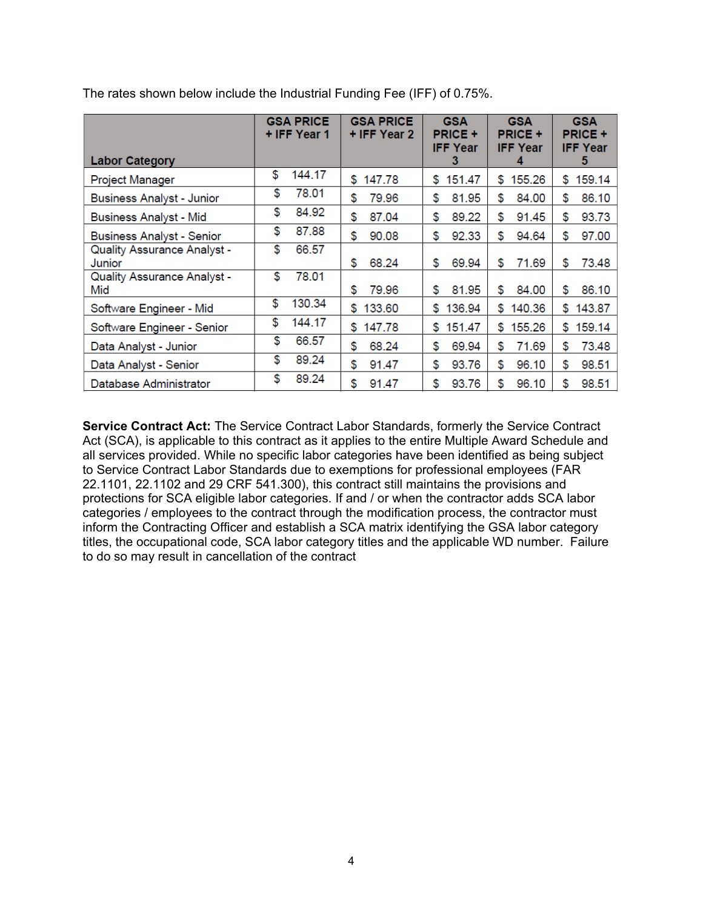|                                  | <b>GSA PRICE</b><br>+ IFF Year 1 | <b>GSA PRICE</b><br>+ IFF Year 2 | <b>GSA</b><br><b>PRICE +</b><br><b>IFF Year</b> | <b>GSA</b><br><b>PRICE +</b><br><b>IFF Year</b> | <b>GSA</b><br><b>PRICE +</b><br><b>IFF Year</b> |
|----------------------------------|----------------------------------|----------------------------------|-------------------------------------------------|-------------------------------------------------|-------------------------------------------------|
| <b>Labor Category</b>            |                                  |                                  | 3                                               |                                                 | 5                                               |
| Project Manager                  | \$                               | \$                               | 151.47                                          | 155.26                                          | \$                                              |
|                                  | 144.17                           | 147.78                           | \$                                              | \$.                                             | 159.14                                          |
| <b>Business Analyst - Junior</b> | \$                               | 79.96                            | \$                                              | \$                                              | \$                                              |
|                                  | 78.01                            | \$                               | 81.95                                           | 84.00                                           | 86.10                                           |
| <b>Business Analyst - Mid</b>    | \$                               | \$                               | \$                                              | \$                                              | \$                                              |
|                                  | 84.92                            | 87.04                            | 89.22                                           | 91.45                                           | 93.73                                           |
| <b>Business Analyst - Senior</b> | \$                               | \$                               | \$                                              | \$                                              | \$                                              |
|                                  | 87.88                            | 90.08                            | 92.33                                           | 94.64                                           | 97.00                                           |
| Quality Assurance Analyst -      | \$                               | 68.24                            | \$                                              | \$                                              | \$                                              |
| Junior                           | 66.57                            | \$                               | 69.94                                           | 71.69                                           | 73.48                                           |
| Quality Assurance Analyst -      | \$                               | 79.96                            | \$                                              | \$                                              | \$                                              |
| Mid                              | 78.01                            | \$                               | 81.95                                           | 84.00                                           | 86.10                                           |
| Software Engineer - Mid          | \$<br>130.34                     | \$133.60                         | \$<br>136.94                                    | \$<br>140.36                                    | \$<br>143.87                                    |
| Software Engineer - Senior       | \$                               | \$                               | \$                                              | \$                                              | \$                                              |
|                                  | 144.17                           | 147.78                           | 151.47                                          | 155.26                                          | 159.14                                          |
| Data Analyst - Junior            | \$                               | \$                               | \$                                              | \$                                              | \$                                              |
|                                  | 66.57                            | 68.24                            | 69.94                                           | 71.69                                           | 73.48                                           |
| Data Analyst - Senior            | \$                               | \$                               | \$                                              | \$                                              | \$                                              |
|                                  | 89.24                            | 91.47                            | 93.76                                           | 96.10                                           | 98.51                                           |
| Database Administrator           | \$                               | \$                               | \$                                              | \$                                              | \$                                              |
|                                  | 89.24                            | 91.47                            | 93.76                                           | 96.10                                           | 98.51                                           |

The rates shown below include the Industrial Funding Fee (IFF) of 0.75%.

**Service Contract Act:** The Service Contract Labor Standards, formerly the Service Contract Act (SCA), is applicable to this contract as it applies to the entire Multiple Award Schedule and all services provided. While no specific labor categories have been identified as being subject to Service Contract Labor Standards due to exemptions for professional employees (FAR 22.1101, 22.1102 and 29 CRF 541.300), this contract still maintains the provisions and protections for SCA eligible labor categories. If and / or when the contractor adds SCA labor categories / employees to the contract through the modification process, the contractor must inform the Contracting Officer and establish a SCA matrix identifying the GSA labor category titles, the occupational code, SCA labor category titles and the applicable WD number. Failure to do so may result in cancellation of the contract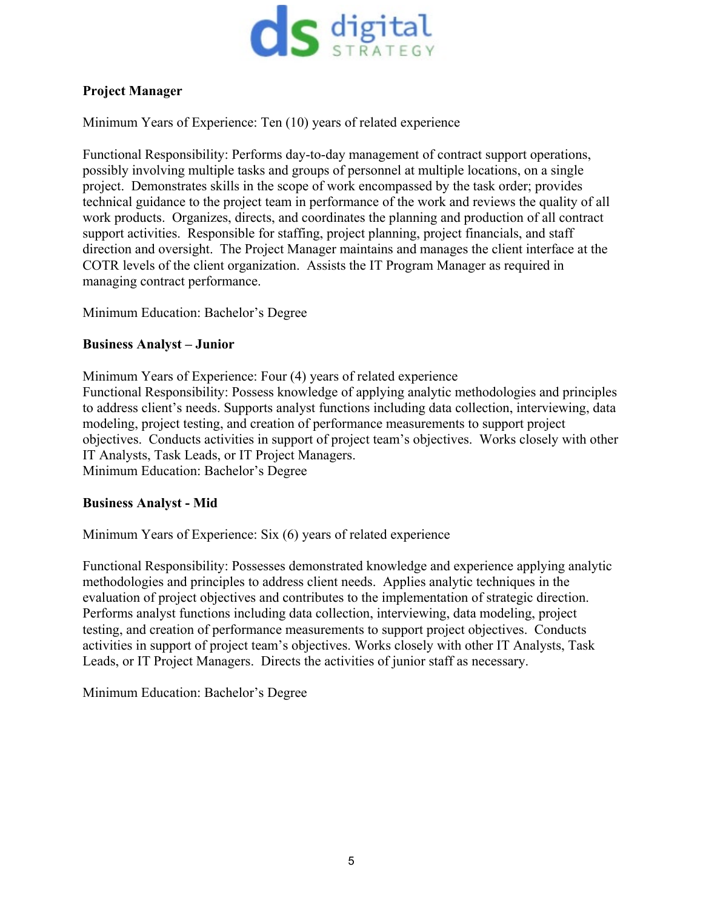

## **Project Manager**

Minimum Years of Experience: Ten (10) years of related experience

Functional Responsibility: Performs day-to-day management of contract support operations, possibly involving multiple tasks and groups of personnel at multiple locations, on a single project. Demonstrates skills in the scope of work encompassed by the task order; provides technical guidance to the project team in performance of the work and reviews the quality of all work products. Organizes, directs, and coordinates the planning and production of all contract support activities. Responsible for staffing, project planning, project financials, and staff direction and oversight. The Project Manager maintains and manages the client interface at the COTR levels of the client organization. Assists the IT Program Manager as required in managing contract performance.

Minimum Education: Bachelor's Degree

## **Business Analyst – Junior**

Minimum Years of Experience: Four (4) years of related experience Functional Responsibility: Possess knowledge of applying analytic methodologies and principles to address client's needs. Supports analyst functions including data collection, interviewing, data modeling, project testing, and creation of performance measurements to support project objectives. Conducts activities in support of project team's objectives. Works closely with other IT Analysts, Task Leads, or IT Project Managers.

Minimum Education: Bachelor's Degree

### **Business Analyst - Mid**

Minimum Years of Experience: Six (6) years of related experience

Functional Responsibility: Possesses demonstrated knowledge and experience applying analytic methodologies and principles to address client needs. Applies analytic techniques in the evaluation of project objectives and contributes to the implementation of strategic direction. Performs analyst functions including data collection, interviewing, data modeling, project testing, and creation of performance measurements to support project objectives. Conducts activities in support of project team's objectives. Works closely with other IT Analysts, Task Leads, or IT Project Managers. Directs the activities of junior staff as necessary.

Minimum Education: Bachelor's Degree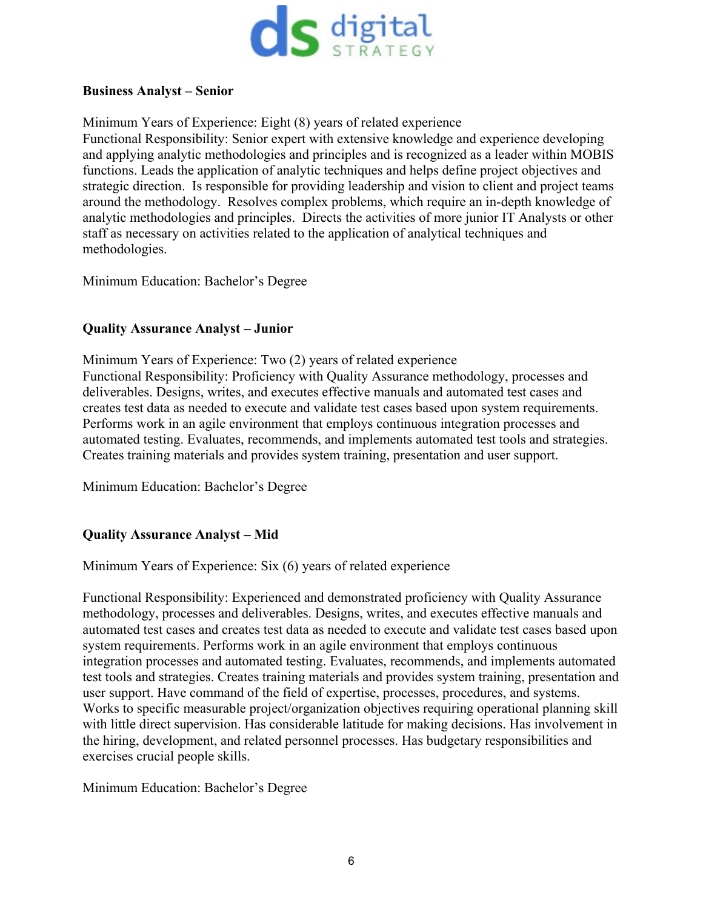

#### **Business Analyst – Senior**

Minimum Years of Experience: Eight (8) years of related experience

Functional Responsibility: Senior expert with extensive knowledge and experience developing and applying analytic methodologies and principles and is recognized as a leader within MOBIS functions. Leads the application of analytic techniques and helps define project objectives and strategic direction. Is responsible for providing leadership and vision to client and project teams around the methodology. Resolves complex problems, which require an in-depth knowledge of analytic methodologies and principles. Directs the activities of more junior IT Analysts or other staff as necessary on activities related to the application of analytical techniques and methodologies.

Minimum Education: Bachelor's Degree

### **Quality Assurance Analyst – Junior**

Minimum Years of Experience: Two (2) years of related experience Functional Responsibility: Proficiency with Quality Assurance methodology, processes and deliverables. Designs, writes, and executes effective manuals and automated test cases and creates test data as needed to execute and validate test cases based upon system requirements. Performs work in an agile environment that employs continuous integration processes and automated testing. Evaluates, recommends, and implements automated test tools and strategies. Creates training materials and provides system training, presentation and user support.

Minimum Education: Bachelor's Degree

### **Quality Assurance Analyst – Mid**

Minimum Years of Experience: Six (6) years of related experience

Functional Responsibility: Experienced and demonstrated proficiency with Quality Assurance methodology, processes and deliverables. Designs, writes, and executes effective manuals and automated test cases and creates test data as needed to execute and validate test cases based upon system requirements. Performs work in an agile environment that employs continuous integration processes and automated testing. Evaluates, recommends, and implements automated test tools and strategies. Creates training materials and provides system training, presentation and user support. Have command of the field of expertise, processes, procedures, and systems. Works to specific measurable project/organization objectives requiring operational planning skill with little direct supervision. Has considerable latitude for making decisions. Has involvement in the hiring, development, and related personnel processes. Has budgetary responsibilities and exercises crucial people skills.

Minimum Education: Bachelor's Degree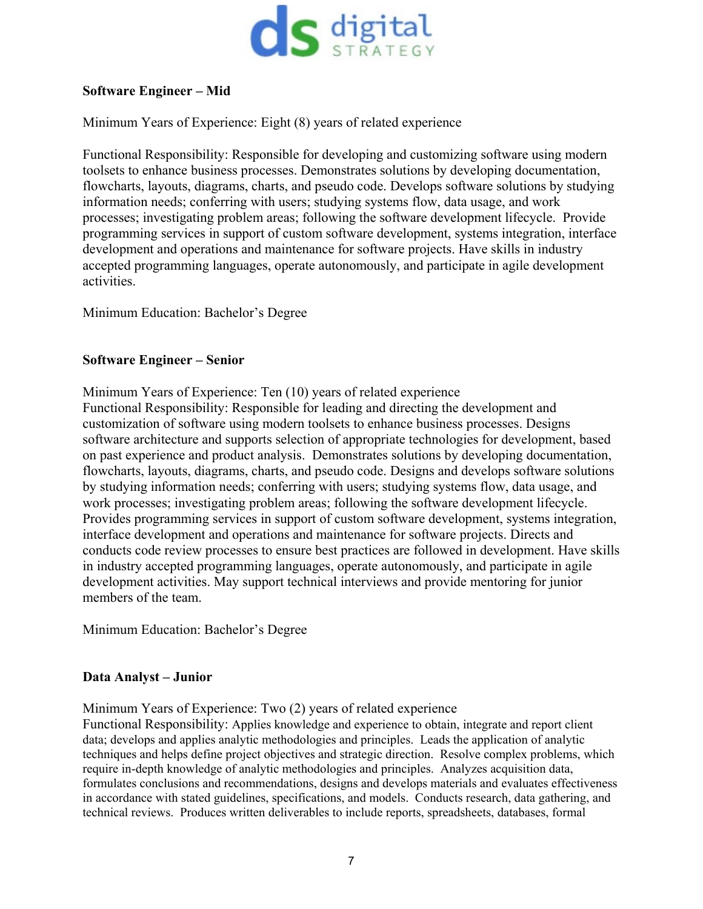

## **Software Engineer – Mid**

Minimum Years of Experience: Eight (8) years of related experience

Functional Responsibility: Responsible for developing and customizing software using modern toolsets to enhance business processes. Demonstrates solutions by developing documentation, flowcharts, layouts, diagrams, charts, and pseudo code. Develops software solutions by studying information needs; conferring with users; studying systems flow, data usage, and work processes; investigating problem areas; following the software development lifecycle. Provide programming services in support of custom software development, systems integration, interface development and operations and maintenance for software projects. Have skills in industry accepted programming languages, operate autonomously, and participate in agile development activities.

Minimum Education: Bachelor's Degree

## **Software Engineer – Senior**

Minimum Years of Experience: Ten (10) years of related experience Functional Responsibility: Responsible for leading and directing the development and customization of software using modern toolsets to enhance business processes. Designs software architecture and supports selection of appropriate technologies for development, based on past experience and product analysis. Demonstrates solutions by developing documentation, flowcharts, layouts, diagrams, charts, and pseudo code. Designs and develops software solutions by studying information needs; conferring with users; studying systems flow, data usage, and work processes; investigating problem areas; following the software development lifecycle. Provides programming services in support of custom software development, systems integration, interface development and operations and maintenance for software projects. Directs and conducts code review processes to ensure best practices are followed in development. Have skills in industry accepted programming languages, operate autonomously, and participate in agile development activities. May support technical interviews and provide mentoring for junior members of the team.

Minimum Education: Bachelor's Degree

### **Data Analyst – Junior**

Minimum Years of Experience: Two (2) years of related experience

Functional Responsibility: Applies knowledge and experience to obtain, integrate and report client data; develops and applies analytic methodologies and principles. Leads the application of analytic techniques and helps define project objectives and strategic direction. Resolve complex problems, which require in-depth knowledge of analytic methodologies and principles. Analyzes acquisition data, formulates conclusions and recommendations, designs and develops materials and evaluates effectiveness in accordance with stated guidelines, specifications, and models. Conducts research, data gathering, and technical reviews. Produces written deliverables to include reports, spreadsheets, databases, formal